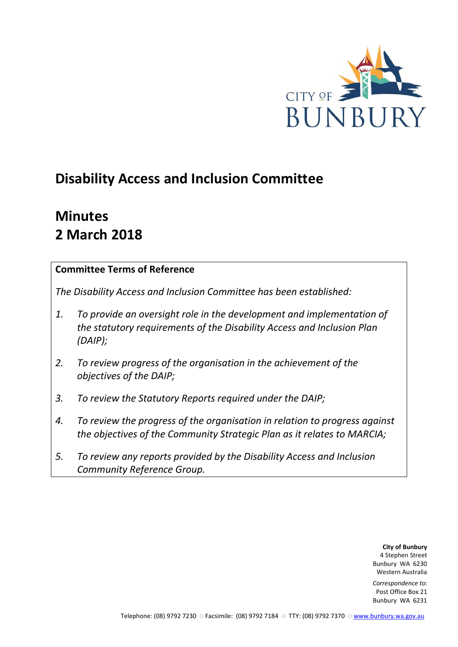

# **Disability Access and Inclusion Committee**

# **Minutes 2 March 2018**

# **Committee Terms of Reference**

*The Disability Access and Inclusion Committee has been established:* 

- *1. To provide an oversight role in the development and implementation of the statutory requirements of the Disability Access and Inclusion Plan (DAIP);*
- *2. To review progress of the organisation in the achievement of the objectives of the DAIP;*
- *3. To review the Statutory Reports required under the DAIP;*
- *4. To review the progress of the organisation in relation to progress against the objectives of the Community Strategic Plan as it relates to MARCIA;*
- *5. To review any reports provided by the Disability Access and Inclusion Community Reference Group.*

**City of Bunbury** 4 Stephen Street Bunbury WA 6230 Western Australia

*Correspondence to:* Post Office Box 21 Bunbury WA 6231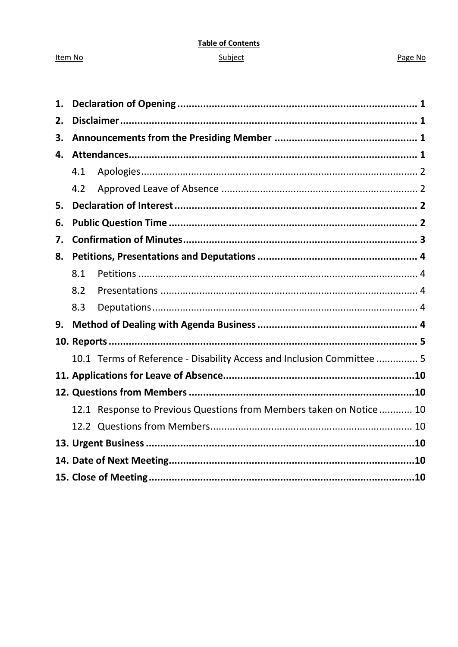# **Table of Contents**

### Subject

#### Page No

| 1. |     |                                                                        |  |  |
|----|-----|------------------------------------------------------------------------|--|--|
| 2. |     |                                                                        |  |  |
| 3. |     |                                                                        |  |  |
| 4. |     |                                                                        |  |  |
|    | 4.1 |                                                                        |  |  |
|    | 4.2 |                                                                        |  |  |
| 5. |     |                                                                        |  |  |
| 6. |     |                                                                        |  |  |
| 7. |     |                                                                        |  |  |
| 8. |     |                                                                        |  |  |
|    | 8.1 |                                                                        |  |  |
|    | 8.2 |                                                                        |  |  |
|    | 8.3 |                                                                        |  |  |
| 9. |     |                                                                        |  |  |
|    |     |                                                                        |  |  |
|    |     | 10.1 Terms of Reference - Disability Access and Inclusion Committee  5 |  |  |
|    |     |                                                                        |  |  |
|    |     |                                                                        |  |  |
|    |     | 12.1 Response to Previous Questions from Members taken on Notice 10    |  |  |
|    |     |                                                                        |  |  |
|    |     |                                                                        |  |  |
|    |     |                                                                        |  |  |
|    |     |                                                                        |  |  |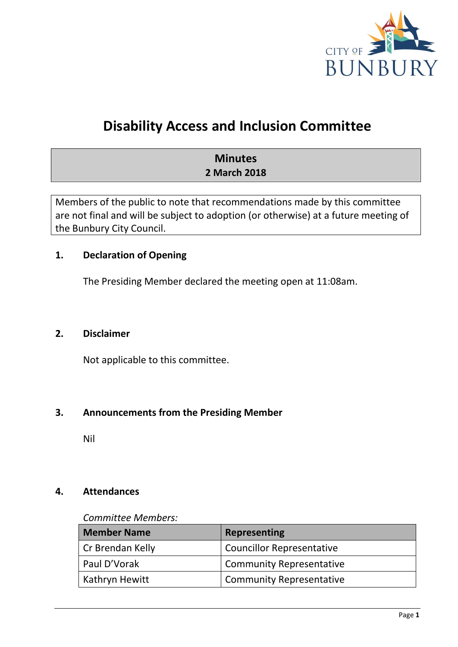

# **Disability Access and Inclusion Committee**

# **Minutes 2 March 2018**

Members of the public to note that recommendations made by this committee are not final and will be subject to adoption (or otherwise) at a future meeting of the Bunbury City Council.

## <span id="page-2-0"></span>**1. Declaration of Opening**

The Presiding Member declared the meeting open at 11:08am.

## <span id="page-2-1"></span>**2. Disclaimer**

Not applicable to this committee.

## <span id="page-2-2"></span>**3. Announcements from the Presiding Member**

Nil

## <span id="page-2-3"></span>**4. Attendances**

#### *Committee Members:*

| <b>Member Name</b>    | <b>Representing</b>              |
|-----------------------|----------------------------------|
| Cr Brendan Kelly      | <b>Councillor Representative</b> |
| Paul D'Vorak          | <b>Community Representative</b>  |
| <b>Kathryn Hewitt</b> | <b>Community Representative</b>  |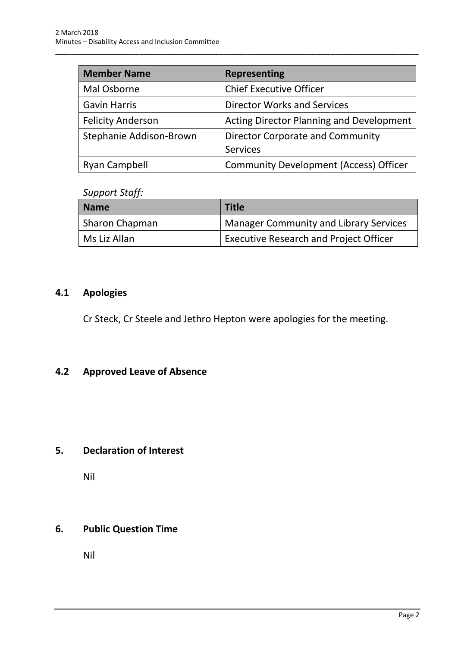| <b>Member Name</b>       | <b>Representing</b>                             |
|--------------------------|-------------------------------------------------|
| Mal Osborne              | <b>Chief Executive Officer</b>                  |
| <b>Gavin Harris</b>      | <b>Director Works and Services</b>              |
| <b>Felicity Anderson</b> | <b>Acting Director Planning and Development</b> |
| Stephanie Addison-Brown  | <b>Director Corporate and Community</b>         |
|                          | <b>Services</b>                                 |
| <b>Ryan Campbell</b>     | <b>Community Development (Access) Officer</b>   |

\_\_\_\_\_\_\_\_\_\_\_\_\_\_\_\_\_\_\_\_\_\_\_\_\_\_\_\_\_\_\_\_\_\_\_\_\_\_\_\_\_\_\_\_\_\_\_\_\_\_\_\_\_\_\_\_\_\_\_\_\_\_\_\_\_\_\_\_\_\_\_\_\_\_\_\_\_\_\_\_\_\_\_\_\_\_\_\_\_\_\_\_\_\_\_

# *Support Staff:*

| <b>Name</b>    | <b>Title</b>                                  |
|----------------|-----------------------------------------------|
| Sharon Chapman | Manager Community and Library Services        |
| Ms Liz Allan   | <b>Executive Research and Project Officer</b> |

# <span id="page-3-0"></span>**4.1 Apologies**

Cr Steck, Cr Steele and Jethro Hepton were apologies for the meeting.

# <span id="page-3-1"></span>**4.2 Approved Leave of Absence**

# <span id="page-3-2"></span>**5. Declaration of Interest**

Nil

# <span id="page-3-3"></span>**6. Public Question Time**

Nil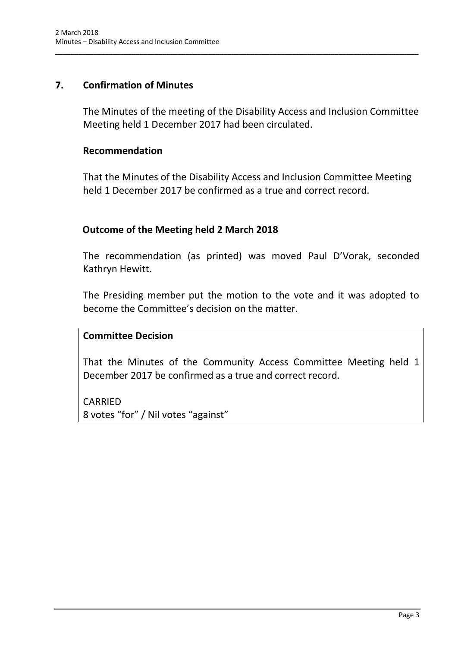## <span id="page-4-0"></span>**7. Confirmation of Minutes**

The Minutes of the meeting of the Disability Access and Inclusion Committee Meeting held 1 December 2017 had been circulated.

\_\_\_\_\_\_\_\_\_\_\_\_\_\_\_\_\_\_\_\_\_\_\_\_\_\_\_\_\_\_\_\_\_\_\_\_\_\_\_\_\_\_\_\_\_\_\_\_\_\_\_\_\_\_\_\_\_\_\_\_\_\_\_\_\_\_\_\_\_\_\_\_\_\_\_\_\_\_\_\_\_\_\_\_\_\_\_\_\_\_\_\_\_\_\_

#### **Recommendation**

That the Minutes of the Disability Access and Inclusion Committee Meeting held 1 December 2017 be confirmed as a true and correct record.

## **Outcome of the Meeting held 2 March 2018**

The recommendation (as printed) was moved Paul D'Vorak, seconded Kathryn Hewitt.

The Presiding member put the motion to the vote and it was adopted to become the Committee's decision on the matter.

## **Committee Decision**

That the Minutes of the Community Access Committee Meeting held 1 December 2017 be confirmed as a true and correct record.

CARRIED 8 votes "for" / Nil votes "against"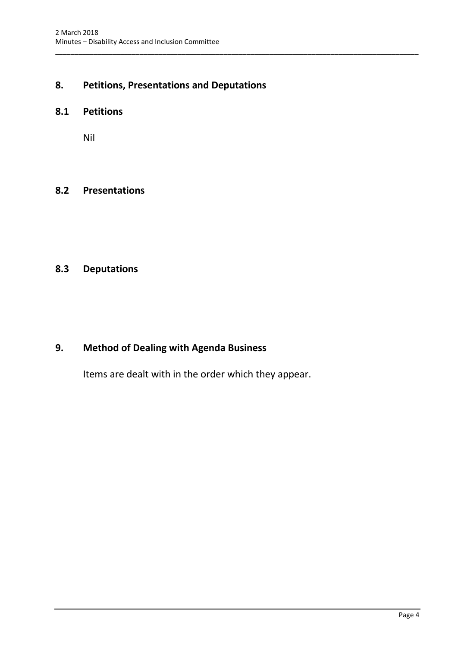# <span id="page-5-0"></span>**8. Petitions, Presentations and Deputations**

\_\_\_\_\_\_\_\_\_\_\_\_\_\_\_\_\_\_\_\_\_\_\_\_\_\_\_\_\_\_\_\_\_\_\_\_\_\_\_\_\_\_\_\_\_\_\_\_\_\_\_\_\_\_\_\_\_\_\_\_\_\_\_\_\_\_\_\_\_\_\_\_\_\_\_\_\_\_\_\_\_\_\_\_\_\_\_\_\_\_\_\_\_\_\_

#### <span id="page-5-1"></span>**8.1 Petitions**

Nil

### <span id="page-5-2"></span>**8.2 Presentations**

# <span id="page-5-3"></span>**8.3 Deputations**

### <span id="page-5-4"></span>**9. Method of Dealing with Agenda Business**

Items are dealt with in the order which they appear.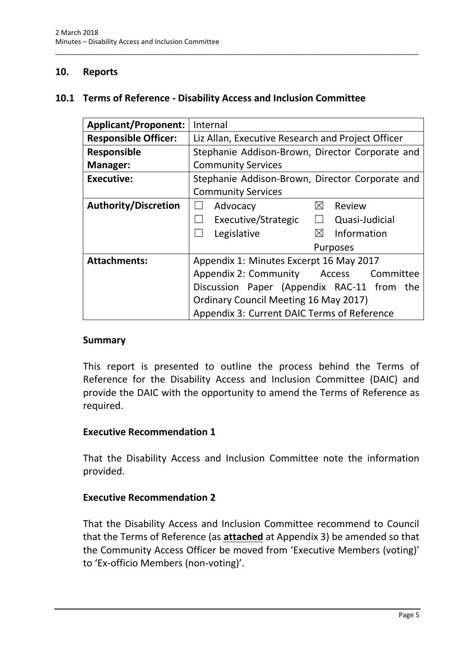### <span id="page-6-0"></span>**10. Reports**

#### <span id="page-6-1"></span>**10.1 Terms of Reference - Disability Access and Inclusion Committee**

\_\_\_\_\_\_\_\_\_\_\_\_\_\_\_\_\_\_\_\_\_\_\_\_\_\_\_\_\_\_\_\_\_\_\_\_\_\_\_\_\_\_\_\_\_\_\_\_\_\_\_\_\_\_\_\_\_\_\_\_\_\_\_\_\_\_\_\_\_\_\_\_\_\_\_\_\_\_\_\_\_\_\_\_\_\_\_\_\_\_\_\_\_\_\_

| <b>Applicant/Proponent:</b> | Internal                                          |  |  |  |
|-----------------------------|---------------------------------------------------|--|--|--|
| <b>Responsible Officer:</b> | Liz Allan, Executive Research and Project Officer |  |  |  |
| <b>Responsible</b>          | Stephanie Addison-Brown, Director Corporate and   |  |  |  |
| Manager:                    | <b>Community Services</b>                         |  |  |  |
| <b>Executive:</b>           | Stephanie Addison-Brown, Director Corporate and   |  |  |  |
|                             | <b>Community Services</b>                         |  |  |  |
| <b>Authority/Discretion</b> | ⊠<br>Review<br>Advocacy                           |  |  |  |
|                             | Executive/Strategic<br>Quasi-Judicial<br>$\Box$   |  |  |  |
|                             | ⊠<br>Information<br>Legislative                   |  |  |  |
|                             | Purposes                                          |  |  |  |
| <b>Attachments:</b>         | Appendix 1: Minutes Excerpt 16 May 2017           |  |  |  |
|                             | Appendix 2: Community Access<br>Committee         |  |  |  |
|                             | Discussion Paper (Appendix RAC-11 from<br>the     |  |  |  |
|                             | <b>Ordinary Council Meeting 16 May 2017)</b>      |  |  |  |
|                             | Appendix 3: Current DAIC Terms of Reference       |  |  |  |

#### **Summary**

This report is presented to outline the process behind the Terms of Reference for the Disability Access and Inclusion Committee (DAIC) and provide the DAIC with the opportunity to amend the Terms of Reference as required.

#### **Executive Recommendation 1**

That the Disability Access and Inclusion Committee note the information provided.

#### **Executive Recommendation 2**

That the Disability Access and Inclusion Committee recommend to Council that the Terms of Reference (as **attached** at Appendix 3) be amended so that the Community Access Officer be moved from 'Executive Members (voting)' to 'Ex-officio Members (non-voting)'.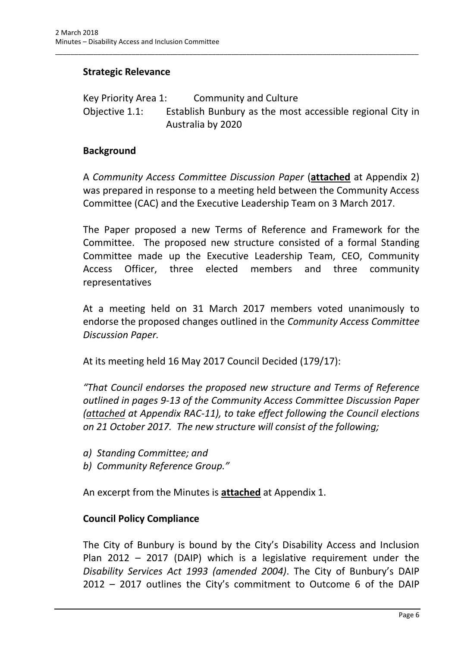## **Strategic Relevance**

Key Priority Area 1: Community and Culture Objective 1.1: Establish Bunbury as the most accessible regional City in Australia by 2020

\_\_\_\_\_\_\_\_\_\_\_\_\_\_\_\_\_\_\_\_\_\_\_\_\_\_\_\_\_\_\_\_\_\_\_\_\_\_\_\_\_\_\_\_\_\_\_\_\_\_\_\_\_\_\_\_\_\_\_\_\_\_\_\_\_\_\_\_\_\_\_\_\_\_\_\_\_\_\_\_\_\_\_\_\_\_\_\_\_\_\_\_\_\_\_

#### **Background**

A *Community Access Committee Discussion Paper* (**attached** at Appendix 2) was prepared in response to a meeting held between the Community Access Committee (CAC) and the Executive Leadership Team on 3 March 2017.

The Paper proposed a new Terms of Reference and Framework for the Committee. The proposed new structure consisted of a formal Standing Committee made up the Executive Leadership Team, CEO, Community Access Officer, three elected members and three community representatives

At a meeting held on 31 March 2017 members voted unanimously to endorse the proposed changes outlined in the *Community Access Committee Discussion Paper.*

At its meeting held 16 May 2017 Council Decided (179/17):

*"That Council endorses the proposed new structure and Terms of Reference outlined in pages 9-13 of the Community Access Committee Discussion Paper (attached at Appendix RAC-11), to take effect following the Council elections on 21 October 2017. The new structure will consist of the following;*

- *a) Standing Committee; and*
- *b) Community Reference Group."*

An excerpt from the Minutes is **attached** at Appendix 1.

## **Council Policy Compliance**

The City of Bunbury is bound by the City's Disability Access and Inclusion Plan 2012 – 2017 (DAIP) which is a legislative requirement under the *Disability Services Act 1993 (amended 2004)*. The City of Bunbury's DAIP 2012 – 2017 outlines the City's commitment to Outcome 6 of the DAIP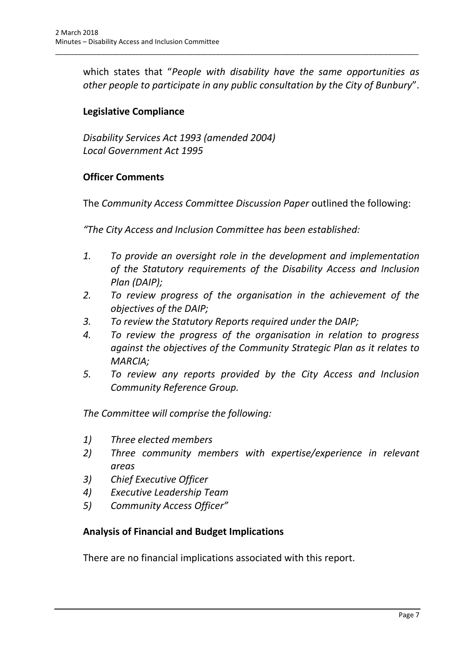which states that "*People with disability have the same opportunities as other people to participate in any public consultation by the City of Bunbury*".

\_\_\_\_\_\_\_\_\_\_\_\_\_\_\_\_\_\_\_\_\_\_\_\_\_\_\_\_\_\_\_\_\_\_\_\_\_\_\_\_\_\_\_\_\_\_\_\_\_\_\_\_\_\_\_\_\_\_\_\_\_\_\_\_\_\_\_\_\_\_\_\_\_\_\_\_\_\_\_\_\_\_\_\_\_\_\_\_\_\_\_\_\_\_\_

# **Legislative Compliance**

*Disability Services Act 1993 (amended 2004) Local Government Act 1995* 

## **Officer Comments**

The *Community Access Committee Discussion Paper* outlined the following:

*"The City Access and Inclusion Committee has been established:*

- *1. To provide an oversight role in the development and implementation of the Statutory requirements of the Disability Access and Inclusion Plan (DAIP);*
- *2. To review progress of the organisation in the achievement of the objectives of the DAIP;*
- *3. To review the Statutory Reports required under the DAIP;*
- *4. To review the progress of the organisation in relation to progress against the objectives of the Community Strategic Plan as it relates to MARCIA;*
- *5. To review any reports provided by the City Access and Inclusion Community Reference Group.*

*The Committee will comprise the following:*

- *1) Three elected members*
- *2) Three community members with expertise/experience in relevant areas*
- *3) Chief Executive Officer*
- *4) Executive Leadership Team*
- *5) Community Access Officer"*

## **Analysis of Financial and Budget Implications**

There are no financial implications associated with this report.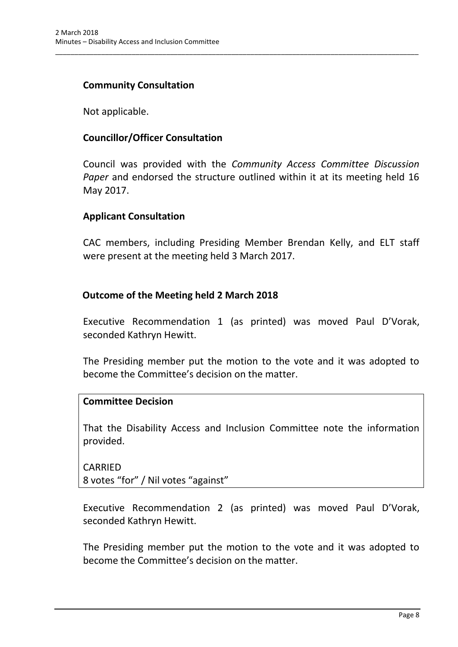### **Community Consultation**

Not applicable.

### **Councillor/Officer Consultation**

Council was provided with the *Community Access Committee Discussion Paper* and endorsed the structure outlined within it at its meeting held 16 May 2017.

\_\_\_\_\_\_\_\_\_\_\_\_\_\_\_\_\_\_\_\_\_\_\_\_\_\_\_\_\_\_\_\_\_\_\_\_\_\_\_\_\_\_\_\_\_\_\_\_\_\_\_\_\_\_\_\_\_\_\_\_\_\_\_\_\_\_\_\_\_\_\_\_\_\_\_\_\_\_\_\_\_\_\_\_\_\_\_\_\_\_\_\_\_\_\_

#### **Applicant Consultation**

CAC members, including Presiding Member Brendan Kelly, and ELT staff were present at the meeting held 3 March 2017.

#### **Outcome of the Meeting held 2 March 2018**

Executive Recommendation 1 (as printed) was moved Paul D'Vorak, seconded Kathryn Hewitt.

The Presiding member put the motion to the vote and it was adopted to become the Committee's decision on the matter.

#### **Committee Decision**

That the Disability Access and Inclusion Committee note the information provided.

CARRIED 8 votes "for" / Nil votes "against"

Executive Recommendation 2 (as printed) was moved Paul D'Vorak, seconded Kathryn Hewitt.

The Presiding member put the motion to the vote and it was adopted to become the Committee's decision on the matter.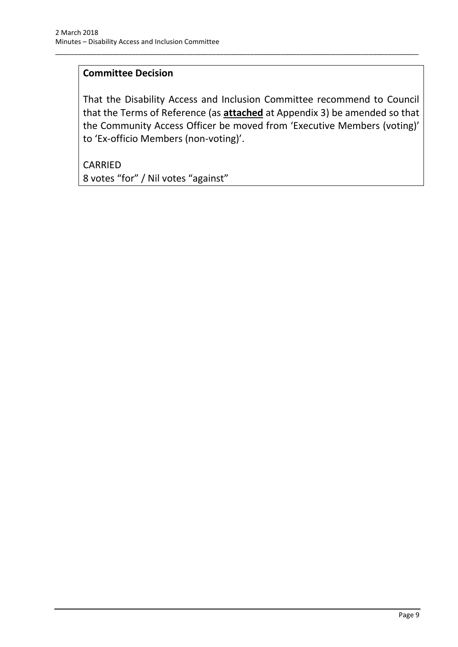# **Committee Decision**

That the Disability Access and Inclusion Committee recommend to Council that the Terms of Reference (as **attached** at Appendix 3) be amended so that the Community Access Officer be moved from 'Executive Members (voting)' to 'Ex-officio Members (non-voting)'.

\_\_\_\_\_\_\_\_\_\_\_\_\_\_\_\_\_\_\_\_\_\_\_\_\_\_\_\_\_\_\_\_\_\_\_\_\_\_\_\_\_\_\_\_\_\_\_\_\_\_\_\_\_\_\_\_\_\_\_\_\_\_\_\_\_\_\_\_\_\_\_\_\_\_\_\_\_\_\_\_\_\_\_\_\_\_\_\_\_\_\_\_\_\_\_

CARRIED 8 votes "for" / Nil votes "against"